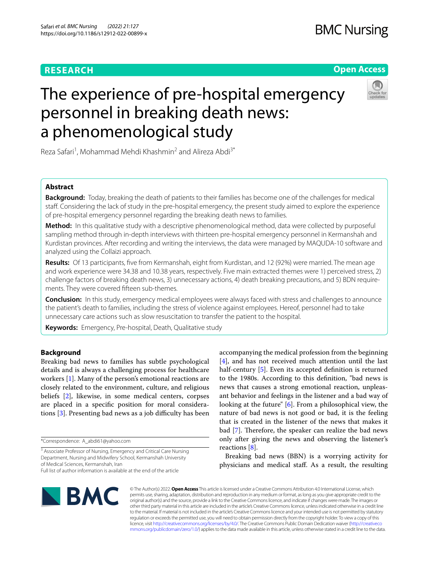# **RESEARCH**

# **Open Access**

# The experience of pre-hospital emergency personnel in breaking death news: a phenomenological study



Reza Safari<sup>1</sup>, Mohammad Mehdi Khashmin<sup>2</sup> and Alireza Abdi<sup>3\*</sup>

# **Abstract**

**Background:** Today, breaking the death of patients to their families has become one of the challenges for medical staff. Considering the lack of study in the pre-hospital emergency, the present study aimed to explore the experience of pre-hospital emergency personnel regarding the breaking death news to families.

**Method:** In this qualitative study with a descriptive phenomenological method, data were collected by purposeful sampling method through in-depth interviews with thirteen pre-hospital emergency personnel in Kermanshah and Kurdistan provinces. After recording and writing the interviews, the data were managed by MAQUDA-10 software and analyzed using the Collaizi approach.

**Results:** Of 13 participants, fve from Kermanshah, eight from Kurdistan, and 12 (92%) were married. The mean age and work experience were 34.38 and 10.38 years, respectively. Five main extracted themes were 1) perceived stress, 2) challenge factors of breaking death news, 3) unnecessary actions, 4) death breaking precautions, and 5) BDN requirements. They were covered ffteen sub-themes.

**Conclusion:** In this study, emergency medical employees were always faced with stress and challenges to announce the patient's death to families, including the stress of violence against employees. Hereof, personnel had to take unnecessary care actions such as slow resuscitation to transfer the patient to the hospital.

**Keywords:** Emergency, Pre-hospital, Death, Qualitative study

### **Background**

Breaking bad news to families has subtle psychological details and is always a challenging process for healthcare workers [[1\]](#page-9-0). Many of the person's emotional reactions are closely related to the environment, culture, and religious beliefs [[2\]](#page-9-1), likewise, in some medical centers, corpses are placed in a specifc position for moral considerations  $[3]$  $[3]$ . Presenting bad news as a job difficulty has been

<sup>3</sup> Associate Professor of Nursing, Emergency and Critical Care Nursing Department, Nursing and Midwifery School, Kermanshah University of Medical Sciences, Kermanshah, Iran

accompanying the medical profession from the beginning [[4\]](#page-9-3), and has not received much attention until the last half-century [\[5](#page-9-4)]. Even its accepted definition is returned to the 1980s. According to this defnition, "bad news is news that causes a strong emotional reaction, unpleasant behavior and feelings in the listener and a bad way of looking at the future" [[6\]](#page-9-5). From a philosophical view, the nature of bad news is not good or bad, it is the feeling that is created in the listener of the news that makes it bad [\[7](#page-9-6)]. Therefore, the speaker can realize the bad news only after giving the news and observing the listener's reactions [[8\]](#page-9-7).

Breaking bad news (BBN) is a worrying activity for physicians and medical staf. As a result, the resulting



© The Author(s) 2022. **Open Access** This article is licensed under a Creative Commons Attribution 4.0 International License, which permits use, sharing, adaptation, distribution and reproduction in any medium or format, as long as you give appropriate credit to the original author(s) and the source, provide a link to the Creative Commons licence, and indicate if changes were made. The images or other third party material in this article are included in the article's Creative Commons licence, unless indicated otherwise in a credit line to the material. If material is not included in the article's Creative Commons licence and your intended use is not permitted by statutory regulation or exceeds the permitted use, you will need to obtain permission directly from the copyright holder. To view a copy of this licence, visit [http://creativecommons.org/licenses/by/4.0/.](http://creativecommons.org/licenses/by/4.0/) The Creative Commons Public Domain Dedication waiver ([http://creativeco](http://creativecommons.org/publicdomain/zero/1.0/) [mmons.org/publicdomain/zero/1.0/](http://creativecommons.org/publicdomain/zero/1.0/)) applies to the data made available in this article, unless otherwise stated in a credit line to the data.

<sup>\*</sup>Correspondence: A\_abdi61@yahoo.com

Full list of author information is available at the end of the article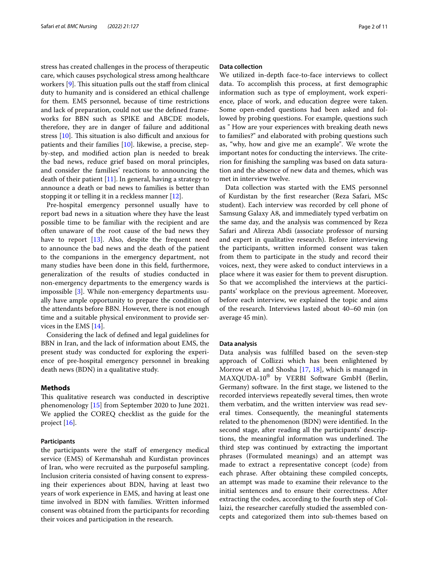stress has created challenges in the process of therapeutic care, which causes psychological stress among healthcare workers  $[9]$  $[9]$ . This situation pulls out the staff from clinical duty to humanity and is considered an ethical challenge for them. EMS personnel, because of time restrictions and lack of preparation, could not use the defned frameworks for BBN such as SPIKE and ABCDE models, therefore, they are in danger of failure and additional stress  $[10]$  $[10]$ . This situation is also difficult and anxious for patients and their families [[10](#page-9-9)]. likewise, a precise, stepby-step, and modifed action plan is needed to break the bad news, reduce grief based on moral principles, and consider the families' reactions to announcing the death of their patient  $[11]$  $[11]$ . In general, having a strategy to announce a death or bad news to families is better than stopping it or telling it in a reckless manner [[12\]](#page-9-11).

Pre-hospital emergency personnel usually have to report bad news in a situation where they have the least possible time to be familiar with the recipient and are often unaware of the root cause of the bad news they have to report [[13](#page-9-12)]. Also, despite the frequent need to announce the bad news and the death of the patient to the companions in the emergency department, not many studies have been done in this feld, furthermore, generalization of the results of studies conducted in non-emergency departments to the emergency wards is impossible [\[3](#page-9-2)]. While non-emergency departments usually have ample opportunity to prepare the condition of the attendants before BBN. However, there is not enough time and a suitable physical environment to provide services in the EMS [\[14](#page-9-13)].

Considering the lack of defned and legal guidelines for BBN in Iran, and the lack of information about EMS, the present study was conducted for exploring the experience of pre-hospital emergency personnel in breaking death news (BDN) in a qualitative study.

#### **Methods**

This qualitative research was conducted in descriptive phenomenology [[15\]](#page-9-14) from September 2020 to June 2021. We applied the COREQ checklist as the guide for the project [\[16](#page-9-15)].

#### **Participants**

the participants were the staf of emergency medical service (EMS) of Kermanshah and Kurdistan provinces of Iran, who were recruited as the purposeful sampling. Inclusion criteria consisted of having consent to expressing their experiences about BDN, having at least two years of work experience in EMS, and having at least one time involved in BDN with families. Written informed consent was obtained from the participants for recording their voices and participation in the research.

#### **Data collection**

We utilized in-depth face-to-face interviews to collect data. To accomplish this process, at frst demographic information such as type of employment, work experience, place of work, and education degree were taken. Some open-ended questions had been asked and followed by probing questions. For example, questions such as " How are your experiences with breaking death news to families?" and elaborated with probing questions such as, "why, how and give me an example". We wrote the important notes for conducting the interviews. The criterion for fnishing the sampling was based on data saturation and the absence of new data and themes, which was met in interview twelve.

Data collection was started with the EMS personnel of Kurdistan by the frst researcher (Reza Safari, MSc student). Each interview was recorded by cell phone of Samsung Galaxy A8, and immediately typed verbatim on the same day, and the analysis was commenced by Reza Safari and Alireza Abdi (associate professor of nursing and expert in qualitative research). Before interviewing the participants, written informed consent was taken from them to participate in the study and record their voices, next, they were asked to conduct interviews in a place where it was easier for them to prevent disruption. So that we accomplished the interviews at the participants' workplace on the previous agreement. Moreover, before each interview, we explained the topic and aims of the research. Interviews lasted about 40–60 min (on average 45 min).

#### **Data analysis**

Data analysis was fulflled based on the seven-step approach of Collizzi which has been enlightened by Morrow et al. and Shosha [[17,](#page-9-16) [18](#page-10-0)], which is managed in MAXQUDA-10® by VERBI Software GmbH (Berlin, Germany) software. In the frst stage, we listened to the recorded interviews repeatedly several times, then wrote them verbatim, and the written interview was read several times. Consequently, the meaningful statements related to the phenomenon (BDN) were identifed. In the second stage, after reading all the participants' descriptions, the meaningful information was underlined. The third step was continued by extracting the important phrases (Formulated meanings) and an attempt was made to extract a representative concept (code) from each phrase. After obtaining these compiled concepts, an attempt was made to examine their relevance to the initial sentences and to ensure their correctness. After extracting the codes, according to the fourth step of Collaizi, the researcher carefully studied the assembled concepts and categorized them into sub-themes based on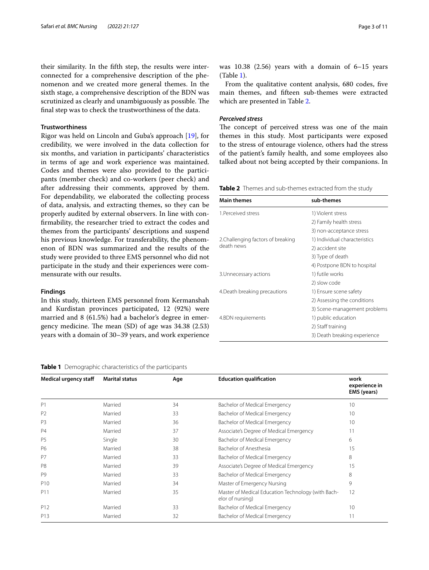their similarity. In the ffth step, the results were interconnected for a comprehensive description of the phenomenon and we created more general themes. In the sixth stage, a comprehensive description of the BDN was scrutinized as clearly and unambiguously as possible. The fnal step was to check the trustworthiness of the data.

#### **Trustworthiness**

Rigor was held on Lincoln and Guba's approach [[19](#page-10-1)], for credibility, we were involved in the data collection for six months, and variation in participants' characteristics in terms of age and work experience was maintained. Codes and themes were also provided to the participants (member check) and co-workers (peer check) and after addressing their comments, approved by them. For dependability, we elaborated the collecting process of data, analysis, and extracting themes, so they can be properly audited by external observers. In line with confrmability, the researcher tried to extract the codes and themes from the participants' descriptions and suspend his previous knowledge. For transferability, the phenomenon of BDN was summarized and the results of the study were provided to three EMS personnel who did not participate in the study and their experiences were commensurate with our results.

#### **Findings**

In this study, thirteen EMS personnel from Kermanshah and Kurdistan provinces participated, 12 (92%) were married and 8 (61.5%) had a bachelor's degree in emergency medicine. The mean  $(SD)$  of age was 34.38  $(2.53)$ years with a domain of 30–39 years, and work experience

#### <span id="page-2-0"></span>**Table 1** Demographic characteristics of the participants

was  $10.38$   $(2.56)$  years with a domain of  $6-15$  years (Table [1\)](#page-2-0).

From the qualitative content analysis, 680 codes, fve main themes, and ffteen sub-themes were extracted which are presented in Table [2](#page-2-1).

#### *Perceived stress*

The concept of perceived stress was one of the main themes in this study. Most participants were exposed to the stress of entourage violence, others had the stress of the patient's family health, and some employees also talked about not being accepted by their companions. In

<span id="page-2-1"></span>**Table 2** Themes and sub-themes extracted from the study

| <b>Main themes</b>                               | sub-themes                    |  |
|--------------------------------------------------|-------------------------------|--|
| 1 Perceived stress                               | 1) Violent stress             |  |
|                                                  | 2) Family health stress       |  |
|                                                  | 3) non-acceptance stress      |  |
| 2. Challenging factors of breaking<br>death news | 1) Individual characteristics |  |
|                                                  | 2) accident site              |  |
|                                                  | 3) Type of death              |  |
|                                                  | 4) Postpone BDN to hospital   |  |
| 3. Unnecessary actions                           | 1) futile works               |  |
|                                                  | 2) slow code                  |  |
| 4. Death breaking precautions                    | 1) Ensure scene safety        |  |
|                                                  | 2) Assessing the conditions   |  |
|                                                  | 3) Scene-management problems  |  |
| 4.BDN requirements                               | 1) public education           |  |
|                                                  | 2) Staff training             |  |
|                                                  | 3) Death breaking experience  |  |

| <b>Medical urgency staff</b> | <b>Marital status</b> | Age | <b>Education qualification</b>                                         | work<br>experience in<br>EMS (years) |
|------------------------------|-----------------------|-----|------------------------------------------------------------------------|--------------------------------------|
| P <sub>1</sub>               | Married               | 34  | Bachelor of Medical Emergency                                          | 10                                   |
| P <sub>2</sub>               | Married               | 33  | Bachelor of Medical Emergency                                          | 10                                   |
| P <sub>3</sub>               | Married               | 36  | Bachelor of Medical Emergency                                          | 10                                   |
| <b>P4</b>                    | Married               | 37  | Associate's Degree of Medical Emergency                                | 11                                   |
| P <sub>5</sub>               | Single                | 30  | Bachelor of Medical Emergency                                          | 6                                    |
| P6                           | Married               | 38  | Bachelor of Anesthesia                                                 | 15                                   |
| P7                           | Married               | 33  | Bachelor of Medical Emergency                                          | 8                                    |
| P <sub>8</sub>               | Married               | 39  | Associate's Degree of Medical Emergency                                | 15                                   |
| P <sub>9</sub>               | Married               | 33  | Bachelor of Medical Emergency                                          | 8                                    |
| P <sub>10</sub>              | Married               | 34  | Master of Emergency Nursing                                            | 9                                    |
| P <sub>11</sub>              | Married               | 35  | Master of Medical Education Technology (with Bach-<br>elor of nursing) | 12                                   |
| P <sub>12</sub>              | Married               | 33  | Bachelor of Medical Emergency                                          | 10                                   |
| P <sub>13</sub>              | Married               | 32  | Bachelor of Medical Emergency                                          | 11                                   |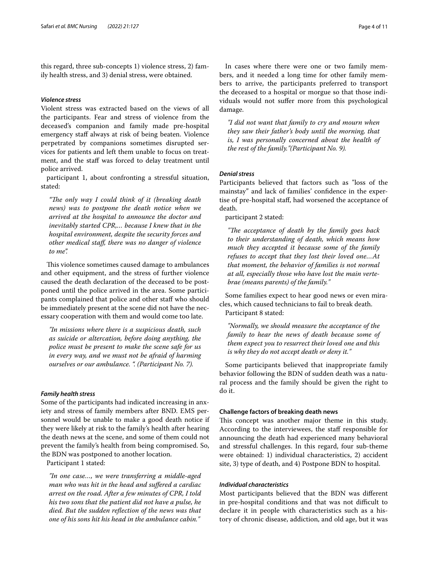this regard, three sub-concepts 1) violence stress, 2) family health stress, and 3) denial stress, were obtained.

### *Violence stress*

Violent stress was extracted based on the views of all the participants. Fear and stress of violence from the deceased's companion and family made pre-hospital emergency staff always at risk of being beaten. Violence perpetrated by companions sometimes disrupted services for patients and left them unable to focus on treatment, and the staff was forced to delay treatment until police arrived.

participant 1, about confronting a stressful situation, stated:

"The only way I could think of it (breaking death *news) was to postpone the death notice when we arrived at the hospital to announce the doctor and inevitably started CPR,… because I knew that in the hospital environment, despite the security forces and other medical staf, there was no danger of violence to me".*

This violence sometimes caused damage to ambulances and other equipment, and the stress of further violence caused the death declaration of the deceased to be postponed until the police arrived in the area. Some participants complained that police and other staff who should be immediately present at the scene did not have the necessary cooperation with them and would come too late.

*"In missions where there is a suspicious death, such as suicide or altercation, before doing anything, the police must be present to make the scene safe for us in every way, and we must not be afraid of harming ourselves or our ambulance. ". (Participant No. 7).*

#### *Family health stress*

Some of the participants had indicated increasing in anxiety and stress of family members after BND. EMS personnel would be unable to make a good death notice if they were likely at risk to the family's health after hearing the death news at the scene, and some of them could not prevent the family's health from being compromised. So, the BDN was postponed to another location.

Participant 1 stated:

*"In one case…, we were transferring a middle-aged man who was hit in the head and sufered a cardiac arrest on the road. After a few minutes of CPR, I told his two sons that the patient did not have a pulse, he died. But the sudden refection of the news was that one of his sons hit his head in the ambulance cabin."*

In cases where there were one or two family members, and it needed a long time for other family members to arrive, the participants preferred to transport the deceased to a hospital or morgue so that those individuals would not sufer more from this psychological damage.

*"I did not want that family to cry and mourn when they saw their father's body until the morning, that is, I was personally concerned about the health of the rest of the family."(Participant No. 9).*

#### *Denial stress*

Participants believed that factors such as "loss of the mainstay" and lack of families' confdence in the expertise of pre-hospital staf, had worsened the acceptance of death.

participant 2 stated:

"The acceptance of death by the family goes back *to their understanding of death, which means how much they accepted it because some of the family refuses to accept that they lost their loved one…At that moment, the behavior of families is not normal at all, especially those who have lost the main vertebrae (means parents) of the family."*

Some families expect to hear good news or even miracles, which caused technicians to fail to break death. Participant 8 stated:

*"Normally, we should measure the acceptance of the family to hear the news of death because some of them expect you to resurrect their loved one and this is why they do not accept death or deny it."*

Some participants believed that inappropriate family behavior following the BDN of sudden death was a natural process and the family should be given the right to do it.

#### **Challenge factors of breaking death news**

This concept was another major theme in this study. According to the interviewees, the staff responsible for announcing the death had experienced many behavioral and stressful challenges. In this regard, four sub-theme were obtained: 1) individual characteristics, 2) accident site, 3) type of death, and 4) Postpone BDN to hospital.

#### *Individual characteristics*

Most participants believed that the BDN was diferent in pre-hospital conditions and that was not difficult to declare it in people with characteristics such as a history of chronic disease, addiction, and old age, but it was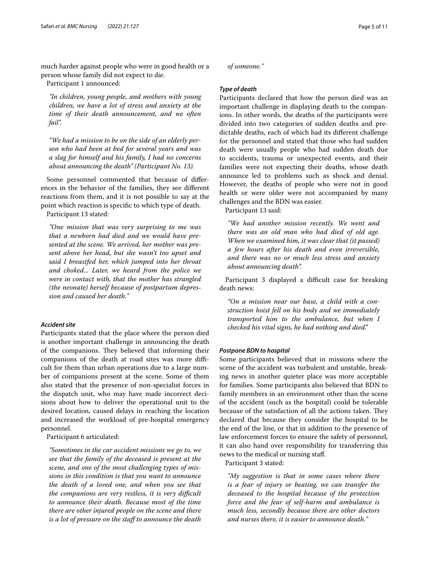much harder against people who were in good health or a person whose family did not expect to die.

Participant 1 announced:

*"In children, young people, and mothers with young children, we have a lot of stress and anxiety at the time of their death announcement, and we often fail".*

*"We had a mission to be on the side of an elderly person who had been at bed for several years and was a slag for himself and his family, I had no concerns about announcing the death" (Participant No. 13).*

Some personnel commented that because of diferences in the behavior of the families, they see diferent reactions from them, and it is not possible to say at the point which reaction is specifc to which type of death. Participant 13 stated:

*"One mission that was very surprising to me was that a newborn had died and we would have presented at the scene. We arrived, her mother was present above her head, but she wasn't too upset and said I breastfed her, which jumped into her throat and choked... Later, we heard from the police we were in contact with, that the mother has strangled (the neonate) herself because of postpartum depression and caused her death."*

#### *Accident site*

Participants stated that the place where the person died is another important challenge in announcing the death of the companions. They believed that informing their companions of the death at road sites was more difficult for them than urban operations due to a large number of companions present at the scene. Some of them also stated that the presence of non-specialist forces in the dispatch unit, who may have made incorrect decisions about how to deliver the operational unit to the desired location, caused delays in reaching the location and increased the workload of pre-hospital emergency personnel.

Participant 6 articulated:

*"Sometimes in the car accident missions we go to, we see that the family of the deceased is present at the scene, and one of the most challenging types of missions in this condition is that you want to announce the death of a loved one, and when you see that the companions are very restless, it is very difcult to announce their death. Because most of the time there are other injured people on the scene and there is a lot of pressure on the staf to announce the death*  *of someone."*

#### *Type of death*

Participants declared that how the person died was an important challenge in displaying death to the companions. In other words, the deaths of the participants were divided into two categories of sudden deaths and predictable deaths, each of which had its diferent challenge for the personnel and stated that those who had sudden death were usually people who had sudden death due to accidents, trauma or unexpected events, and their families were not expecting their deaths, whose death announce led to problems such as shock and denial. However, the deaths of people who were not in good health or were older were not accompanied by many challenges and the BDN was easier.

Participant 13 said:

*"We had another mission recently. We went and there was an old man who had died of old age. When we examined him, it was clear that (it passed) a few hours after his death and even irreversible, and there was no or much less stress and anxiety about announcing death".*

Participant 3 displayed a difficult case for breaking death news:

*"On a mission near our base, a child with a construction hoist fell on his body and we immediately transported him to the ambulance, but when I checked his vital signs, he had nothing and died."*

#### *Postpone BDN to hospital*

Some participants believed that in missions where the scene of the accident was turbulent and unstable, breaking news in another quieter place was more acceptable for families. Some participants also believed that BDN to family members in an environment other than the scene of the accident (such as the hospital) could be tolerable because of the satisfaction of all the actions taken. They declared that because they consider the hospital to be the end of the line, or that in addition to the presence of law enforcement forces to ensure the safety of personnel, it can also hand over responsibility for transferring this news to the medical or nursing staf.

Participant 3 stated:

*"My suggestion is that in some cases where there is a fear of injury or beating, we can transfer the deceased to the hospital because of the protection force and the fear of self-harm and ambulance is much less, secondly because there are other doctors and nurses there, it is easier to announce death."*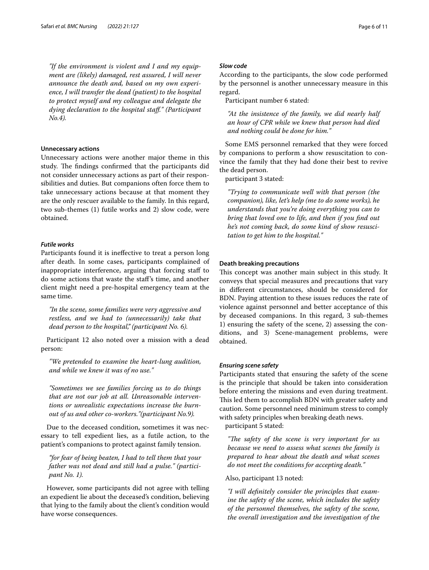*"If the environment is violent and I and my equipment are (likely) damaged, rest assured, I will never announce the death and, based on my own experience, I will transfer the dead (patient) to the hospital to protect myself and my colleague and delegate the dying declaration to the hospital staf." (Participant No.4).*

#### **Unnecessary actions**

Unnecessary actions were another major theme in this study. The findings confirmed that the participants did not consider unnecessary actions as part of their responsibilities and duties. But companions often force them to take unnecessary actions because at that moment they are the only rescuer available to the family. In this regard, two sub-themes (1) futile works and 2) slow code, were obtained.

#### *Futile works*

Participants found it is inefective to treat a person long after death. In some cases, participants complained of inappropriate interference, arguing that forcing staff to do some actions that waste the staf's time, and another client might need a pre-hospital emergency team at the same time.

*"In the scene, some families were very aggressive and restless, and we had to (unnecessarily) take that dead person to the hospital," (participant No. 6).*

Participant 12 also noted over a mission with a dead person:

*"We pretended to examine the heart-lung audition, and while we knew it was of no use."*

*"Sometimes we see families forcing us to do things that are not our job at all. Unreasonable interventions or unrealistic expectations increase the burnout of us and other co-workers."(participant No.9).*

Due to the deceased condition, sometimes it was necessary to tell expedient lies, as a futile action, to the patient's companions to protect against family tension.

*"for fear of being beaten, I had to tell them that your father was not dead and still had a pulse." (participant No. 1).*

However, some participants did not agree with telling an expedient lie about the deceased's condition, believing that lying to the family about the client's condition would have worse consequences.

#### *Slow code*

According to the participants, the slow code performed by the personnel is another unnecessary measure in this regard.

Participant number 6 stated:

*"At the insistence of the family, we did nearly half an hour of CPR while we knew that person had died and nothing could be done for him."*

Some EMS personnel remarked that they were forced by companions to perform a show resuscitation to convince the family that they had done their best to revive the dead person.

participant 3 stated:

*"Trying to communicate well with that person (the companion), like, let's help (me to do some works), he understands that you're doing everything you can to bring that loved one to life, and then if you fnd out he's not coming back, do some kind of show resuscitation to get him to the hospital."*

#### **Death breaking precautions**

This concept was another main subject in this study. It conveys that special measures and precautions that vary in diferent circumstances, should be considered for BDN. Paying attention to these issues reduces the rate of violence against personnel and better acceptance of this by deceased companions. In this regard, 3 sub-themes 1) ensuring the safety of the scene, 2) assessing the conditions, and 3) Scene-management problems, were obtained.

#### *Ensuring scene safety*

Participants stated that ensuring the safety of the scene is the principle that should be taken into consideration before entering the missions and even during treatment. This led them to accomplish BDN with greater safety and caution. Some personnel need minimum stress to comply with safety principles when breaking death news.

participant 5 stated:

"The safety of the scene is very important for us *because we need to assess what scenes the family is prepared to hear about the death and what scenes do not meet the conditions for accepting death."*

#### Also, participant 13 noted:

*"I will defnitely consider the principles that examine the safety of the scene, which includes the safety of the personnel themselves, the safety of the scene, the overall investigation and the investigation of the*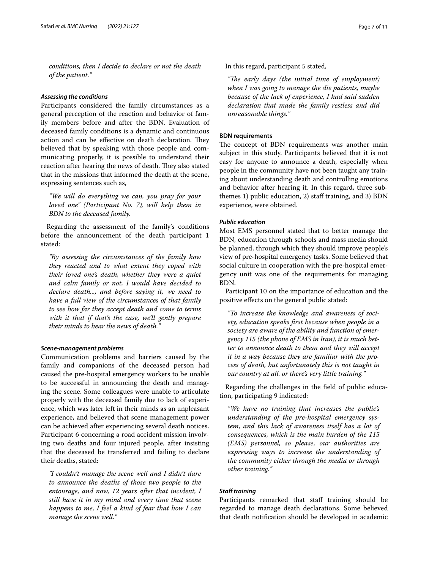*conditions, then I decide to declare or not the death of the patient."*

#### *Assessing the conditions*

Participants considered the family circumstances as a general perception of the reaction and behavior of family members before and after the BDN. Evaluation of deceased family conditions is a dynamic and continuous action and can be effective on death declaration. They believed that by speaking with those people and communicating properly, it is possible to understand their reaction after hearing the news of death. They also stated that in the missions that informed the death at the scene, expressing sentences such as,

*"We will do everything we can, you pray for your loved one" (Participant No. 7), will help them in BDN to the deceased family.*

Regarding the assessment of the family's conditions before the announcement of the death participant 1 stated:

*"By assessing the circumstances of the family how they reacted and to what extent they coped with their loved one's death, whether they were a quiet and calm family or not, I would have decided to declare death..., and before saying it, we need to have a full view of the circumstances of that family to see how far they accept death and come to terms with it that if that's the case, we'll gently prepare their minds to hear the news of death."*

#### *Scene‑management problems*

Communication problems and barriers caused by the family and companions of the deceased person had caused the pre-hospital emergency workers to be unable to be successful in announcing the death and managing the scene. Some colleagues were unable to articulate properly with the deceased family due to lack of experience, which was later left in their minds as an unpleasant experience, and believed that scene management power can be achieved after experiencing several death notices. Participant 6 concerning a road accident mission involving two deaths and four injured people, after insisting that the deceased be transferred and failing to declare their deaths, stated:

*"I couldn't manage the scene well and I didn't dare to announce the deaths of those two people to the entourage, and now, 12 years after that incident, I still have it in my mind and every time that scene happens to me, I feel a kind of fear that how I can manage the scene well."*

In this regard, participant 5 stated,

"The early days (the initial time of employment) *when I was going to manage the die patients, maybe because of the lack of experience, I had said sudden declaration that made the family restless and did unreasonable things."*

#### **BDN requirements**

The concept of BDN requirements was another main subject in this study. Participants believed that it is not easy for anyone to announce a death, especially when people in the community have not been taught any training about understanding death and controlling emotions and behavior after hearing it. In this regard, three subthemes 1) public education, 2) staff training, and 3) BDN experience, were obtained.

#### *Public education*

Most EMS personnel stated that to better manage the BDN, education through schools and mass media should be planned, through which they should improve people's view of pre-hospital emergency tasks. Some believed that social culture in cooperation with the pre-hospital emergency unit was one of the requirements for managing BDN.

Participant 10 on the importance of education and the positive efects on the general public stated:

*"To increase the knowledge and awareness of society, education speaks frst because when people in a society are aware of the ability and function of emergency 115 (the phone of EMS in Iran), it is much better to announce death to them and they will accept it in a way because they are familiar with the process of death, but unfortunately this is not taught in our country at all. or there's very little training."*

Regarding the challenges in the feld of public education, participating 9 indicated:

*"We have no training that increases the public's understanding of the pre-hospital emergency system, and this lack of awareness itself has a lot of consequences, which is the main burden of the 115 (EMS) personnel, so please, our authorities are expressing ways to increase the understanding of the community either through the media or through other training."*

#### *Staf training*

Participants remarked that staff training should be regarded to manage death declarations. Some believed that death notifcation should be developed in academic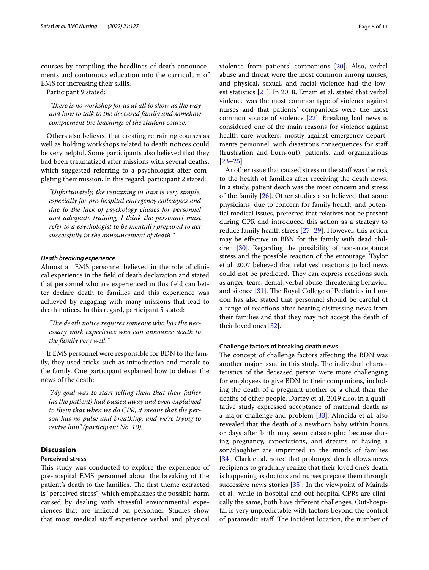courses by compiling the headlines of death announcements and continuous education into the curriculum of EMS for increasing their skills.

Participant 9 stated:

"There is no workshop for us at all to show us the way *and how to talk to the deceased family and somehow complement the teachings of the student course."*

Others also believed that creating retraining courses as well as holding workshops related to death notices could be very helpful. Some participants also believed that they had been traumatized after missions with several deaths, which suggested referring to a psychologist after completing their mission. In this regard, participant 2 stated:

*"Unfortunately, the retraining in Iran is very simple, especially for pre-hospital emergency colleagues and due to the lack of psychology classes for personnel and adequate training, I think the personnel must refer to a psychologist to be mentally prepared to act successfully in the announcement of death."*

#### *Death breaking experience*

Almost all EMS personnel believed in the role of clinical experience in the feld of death declaration and stated that personnel who are experienced in this feld can better declare death to families and this experience was achieved by engaging with many missions that lead to death notices. In this regard, participant 5 stated:

"The death notice requires someone who has the nec*essary work experience who can announce death to the family very well."*

If EMS personnel were responsible for BDN to the family, they used tricks such as introduction and morale to the family. One participant explained how to deliver the news of the death:

*"My goal was to start telling them that their father (as the patient) had passed away and even explained to them that when we do CPR, it means that the person has no pulse and breathing, and we're trying to revive him" (participant No. 10).*

#### **Discussion**

#### **Perceived stress**

This study was conducted to explore the experience of pre-hospital EMS personnel about the breaking of the patient's death to the families. The first theme extracted is "perceived stress", which emphasizes the possible harm caused by dealing with stressful environmental experiences that are inficted on personnel. Studies show that most medical staff experience verbal and physical violence from patients' companions [\[20\]](#page-10-2). Also, verbal abuse and threat were the most common among nurses, and physical, sexual, and racial violence had the lowest statistics [[21](#page-10-3)]. In 2018, Emam et al. stated that verbal violence was the most common type of violence against nurses and that patients' companions were the most common source of violence [[22\]](#page-10-4). Breaking bad news is considered one of the main reasons for violence against health care workers, mostly against emergency departments personnel, with disastrous consequences for staf (frustration and burn-out), patients, and organizations [[23–](#page-10-5)[25\]](#page-10-6).

Another issue that caused stress in the staf was the risk to the health of families after receiving the death news. In a study, patient death was the most concern and stress of the family [[26\]](#page-10-7). Other studies also believed that some physicians, due to concern for family health, and potential medical issues, preferred that relatives not be present during CPR and introduced this action as a strategy to reduce family health stress [\[27](#page-10-8)[–29\]](#page-10-9). However, this action may be efective in BBN for the family with dead children [\[30](#page-10-10)]. Regarding the possibility of non-acceptance stress and the possible reaction of the entourage, Taylor et al. 2007 believed that relatives' reactions to bad news could not be predicted. They can express reactions such as anger, tears, denial, verbal abuse, threatening behavior, and silence  $[31]$  $[31]$ . The Royal College of Pediatrics in London has also stated that personnel should be careful of a range of reactions after hearing distressing news from their families and that they may not accept the death of their loved ones [\[32](#page-10-12)].

## **Challenge factors of breaking death news**

The concept of challenge factors affecting the BDN was another major issue in this study. The individual characteristics of the deceased person were more challenging for employees to give BDN to their companions, including the death of a pregnant mother or a child than the deaths of other people. Dartey et al. 2019 also, in a qualitative study expressed acceptance of maternal death as a major challenge and problem [[33\]](#page-10-13). Almeida et al. also revealed that the death of a newborn baby within hours or days after birth may seem catastrophic because during pregnancy, expectations, and dreams of having a son/daughter are imprinted in the minds of families [[34\]](#page-10-14). Clark et al. noted that prolonged death allows news recipients to gradually realize that their loved one's death is happening as doctors and nurses prepare them through successive news stories [[35](#page-10-15)]. In the viewpoint of Mainds et al., while in-hospital and out-hospital CPRs are clinically the same, both have diferent challenges. Out-hospital is very unpredictable with factors beyond the control of paramedic staff. The incident location, the number of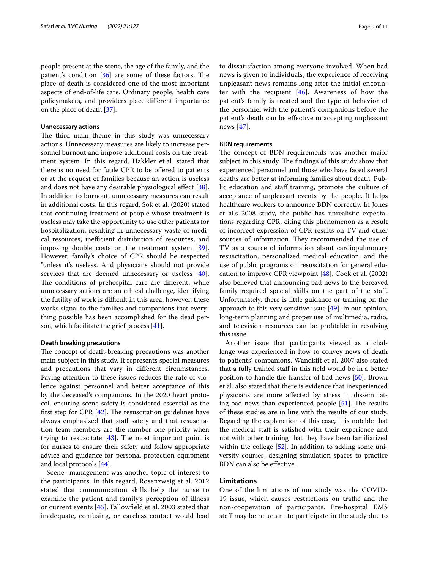people present at the scene, the age of the family, and the patient's condition  $[36]$  $[36]$  are some of these factors. The place of death is considered one of the most important aspects of end-of-life care. Ordinary people, health care policymakers, and providers place diferent importance on the place of death [\[37\]](#page-10-17).

#### **Unnecessary actions**

The third main theme in this study was unnecessary actions. Unnecessary measures are likely to increase personnel burnout and impose additional costs on the treatment system. In this regard, Hakkler et.al. stated that there is no need for futile CPR to be ofered to patients or at the request of families because an action is useless and does not have any desirable physiological effect [\[38](#page-10-18)]. In addition to burnout, unnecessary measures can result in additional costs. In this regard, Sok et al. (2020) stated that continuing treatment of people whose treatment is useless may take the opportunity to use other patients for hospitalization, resulting in unnecessary waste of medical resources, inefficient distribution of resources, and imposing double costs on the treatment system [\[39](#page-10-19)]. However, family's choice of CPR should be respected "unless it's useless. And physicians should not provide services that are deemed unnecessary or useless [\[40](#page-10-20)]. The conditions of prehospital care are different, while unnecessary actions are an ethical challenge, identifying the futility of work is difficult in this area, however, these works signal to the families and companions that everything possible has been accomplished for the dead person, which facilitate the grief process [[41\]](#page-10-21).

#### **Death breaking precautions**

The concept of death-breaking precautions was another main subject in this study. It represents special measures and precautions that vary in diferent circumstances. Paying attention to these issues reduces the rate of violence against personnel and better acceptance of this by the deceased's companions. In the 2020 heart protocol, ensuring scene safety is considered essential as the first step for CPR  $[42]$  $[42]$ . The resuscitation guidelines have always emphasized that staff safety and that resuscitation team members are the number one priority when trying to resuscitate  $[43]$  $[43]$ . The most important point is for nurses to ensure their safety and follow appropriate advice and guidance for personal protection equipment and local protocols [[44\]](#page-10-24).

Scene- management was another topic of interest to the participants. In this regard, Rosenzweig et al. 2012 stated that communication skills help the nurse to examine the patient and family's perception of illness or current events [[45\]](#page-10-25). Fallowfeld et al. 2003 stated that inadequate, confusing, or careless contact would lead to dissatisfaction among everyone involved. When bad news is given to individuals, the experience of receiving unpleasant news remains long after the initial encounter with the recipient  $[46]$  $[46]$  $[46]$ . Awareness of how the patient's family is treated and the type of behavior of the personnel with the patient's companions before the patient's death can be efective in accepting unpleasant news [[47](#page-10-27)].

#### **BDN requirements**

The concept of BDN requirements was another major subject in this study. The findings of this study show that experienced personnel and those who have faced several deaths are better at informing families about death. Public education and staf training, promote the culture of acceptance of unpleasant events by the people. It helps healthcare workers to announce BDN correctly. In Jones et al.'s 2008 study, the public has unrealistic expectations regarding CPR, citing this phenomenon as a result of incorrect expression of CPR results on TV and other sources of information. They recommended the use of TV as a source of information about cardiopulmonary resuscitation, personalized medical education, and the use of public programs on resuscitation for general education to improve CPR viewpoint [[48\]](#page-10-28). Cook et al. (2002) also believed that announcing bad news to the bereaved family required special skills on the part of the staf. Unfortunately, there is little guidance or training on the approach to this very sensitive issue  $[49]$  $[49]$ . In our opinion, long-term planning and proper use of multimedia, radio, and television resources can be proftable in resolving this issue.

Another issue that participants viewed as a challenge was experienced in how to convey news of death to patients' companions. Wandkift et al. 2007 also stated that a fully trained staff in this field would be in a better position to handle the transfer of bad news [[50\]](#page-10-30). Brown et al. also stated that there is evidence that inexperienced physicians are more afected by stress in disseminating bad news than experienced people  $[51]$  $[51]$  $[51]$ . The results of these studies are in line with the results of our study. Regarding the explanation of this case, it is notable that the medical staff is satisfied with their experience and not with other training that they have been familiarized within the college [[52](#page-10-32)]. In addition to adding some university courses, designing simulation spaces to practice BDN can also be efective.

#### **Limitations**

One of the limitations of our study was the COVID-19 issue, which causes restrictions on traffic and the non-cooperation of participants. Pre-hospital EMS staf may be reluctant to participate in the study due to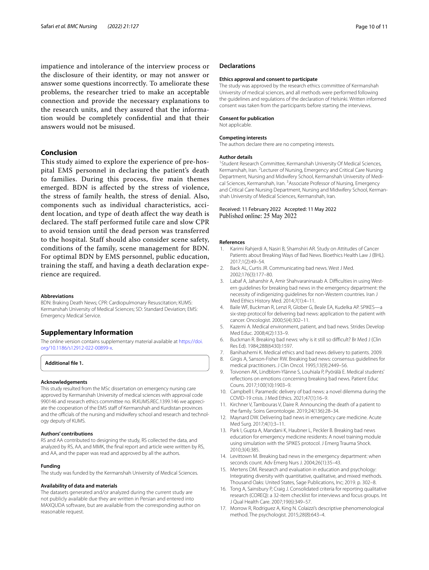impatience and intolerance of the interview process or the disclosure of their identity, or may not answer or answer some questions incorrectly. To ameliorate these problems, the researcher tried to make an acceptable connection and provide the necessary explanations to the research units, and they assured that the information would be completely confdential and that their answers would not be misused.

#### **Conclusion**

This study aimed to explore the experience of pre-hospital EMS personnel in declaring the patient's death to families. During this process, five main themes emerged. BDN is affected by the stress of violence, the stress of family health, the stress of denial. Also, components such as individual characteristics, accident location, and type of death affect the way death is declared. The staff performed futile care and slow CPR to avoid tension until the dead person was transferred to the hospital. Staff should also consider scene safety, conditions of the family, scene management for BDN. For optimal BDN by EMS personnel, public education, training the staff, and having a death declaration experience are required.

#### **Abbreviations**

BDN: Braking Death News; CPR: Cardiopulmonary Resuscitation; KUMS: Kermanshah University of Medical Sciences; SD: Standard Deviation; EMS: Emergency Medical Service.

#### **Supplementary Information**

The online version contains supplementary material available at [https://doi.](https://doi.org/10.1186/s12912-022-00899-x) [org/10.1186/s12912-022-00899-x.](https://doi.org/10.1186/s12912-022-00899-x)

**Additional fle 1.**

#### **Acknowledgements**

This study resulted from the MSc dissertation on emergency nursing care approved by Kermanshah University of medical sciences with approval code 990146 and research ethics committee no. IR.KUMS.REC.1399.146 we appreciate the cooperation of the EMS staff of Kermanshah and Kurdistan provinces and the officials of the nursing and midwifery school and research and technology deputy of KUMS.

#### **Authors' contributions**

RS and AA contributed to designing the study, RS collected the data, and analyzed by RS, AA, and MMK, the fnal report and article were written by RS, and AA, and the paper was read and approved by all the authors.

#### **Funding**

The study was funded by the Kermanshah University of Medical Sciences.

#### **Availability of data and materials**

The datasets generated and/or analyzed during the current study are not publicly available due they are written in Persian and entered into MAXQUDA software, but are available from the corresponding author on reasonable request.

#### **Declarations**

#### **Ethics approval and consent to participate**

The study was approved by the research ethics committee of Kermanshah University of medical sciences, and all methods were performed following the guidelines and regulations of the declaration of Helsinki. Written informed consent was taken from the participants before starting the interviews.

#### **Consent for publication**

Not applicable.

#### **Competing interests**

The authors declare there are no competing interests.

#### **Author details**

<sup>1</sup> Student Research Committee, Kermanshah University Of Medical Sciences, Kermanshah, Iran. <sup>2</sup> Lecturer of Nursing, Emergency and Critical Care Nursing Department, Nursing and Midwifery School, Kermanshah University of Medical Sciences, Kermanshah, Iran. <sup>3</sup> Associate Professor of Nursing, Emergency and Critical Care Nursing Department, Nursing and Midwifery School, Kermanshah University of Medical Sciences, Kermanshah, Iran.

#### Received: 11 February 2022 Accepted: 11 May 2022 Published online: 25 May 2022

#### **References**

- <span id="page-9-0"></span>1. Karimi Rahjerdi A, Nasiri B, Shamshiri AR. Study on Attitudes of Cancer Patients about Breaking Ways of Bad News. Bioethics Health Law J (BHL). 2017;1(2):49–54.
- <span id="page-9-1"></span>2. Back AL, Curtis JR. Communicating bad news. West J Med. 2002;176(3):177–80.
- <span id="page-9-2"></span>3. Labaf A, Jahanshir A, Amir Shahvaraninasab A. Difficulties in using Western guidelines for breaking bad news in the emergency department: the necessity of indigenizing guidelines for non-Western countries. Iran J Med Ethics History Med. 2014;7(1):4–11.
- <span id="page-9-3"></span>4. Baile WF, Buckman R, Lenzi R, Glober G, Beale EA, Kudelka AP. SPIKES—a six-step protocol for delivering bad news: application to the patient with cancer. Oncologist. 2000;5(4):302–11.
- <span id="page-9-4"></span>5. Kazemi A. Medical environment, patient, and bad news. Strides Develop Med Educ. 2008;4(2):133–9.
- <span id="page-9-5"></span>6. Buckman R. Breaking bad news: why is it still so difficult? Br Med J (Clin Res Ed). 1984;288(6430):1597.
- <span id="page-9-6"></span>7. Banihashemi K. Medical ethics and bad news delivery to patients. 2009.
- <span id="page-9-7"></span>8. Girgis A, Sanson-Fisher RW. Breaking bad news: consensus guidelines for medical practitioners. J Clin Oncol. 1995;13(9):2449–56.
- <span id="page-9-8"></span>9. Toivonen AK, Lindblom-Ylänne S, Louhiala P, Pyörälä E. Medical students' refections on emotions concerning breaking bad news. Patient Educ Couns. 2017;100(10):1903–9.
- <span id="page-9-9"></span>10. Campbell I. Paramedic delivery of bad news: a novel dilemma during the COVID-19 crisis. J Med Ethics. 2021;47(1):16–9.
- <span id="page-9-10"></span>11. Kirchner V, Tambouras V, Daire R. Announcing the death of a patient to the family. Soins Gerontologie. 2019;24(136):28–34.
- <span id="page-9-11"></span>12. Maynard DW. Delivering bad news in emergency care medicine. Acute Med Surg. 2017;4(1):3–11.
- <span id="page-9-12"></span>13. Park I, Gupta A, Mandani K, Haubner L, Peckler B. Breaking bad news education for emergency medicine residents: A novel training module using simulation with the SPIKES protocol. J Emerg Trauma Shock. 2010;3(4):385.
- <span id="page-9-13"></span>14. Levittown M. Breaking bad news in the emergency department: when seconds count. Adv Emerg Nurs J. 2004;26(1):35–43.
- <span id="page-9-14"></span>15. Mertens DM. Research and evaluation in education and psychology: Integrating diversity with quantitative, qualitative, and mixed methods. Thousand Oaks: United States, Sage Publications, Inc; 2019. p. 302–8.
- <span id="page-9-15"></span>16. Tong A, Sainsbury P, Craig J. Consolidated criteria for reporting qualitative research (COREQ): a 32-item checklist for interviews and focus groups. Int J Qual Health Care. 2007;19(6):349–57.
- <span id="page-9-16"></span>17. Morrow R, Rodriguez A, King N. Colaizzi's descriptive phenomenological method. The psychologist. 2015;28(8):643–4.